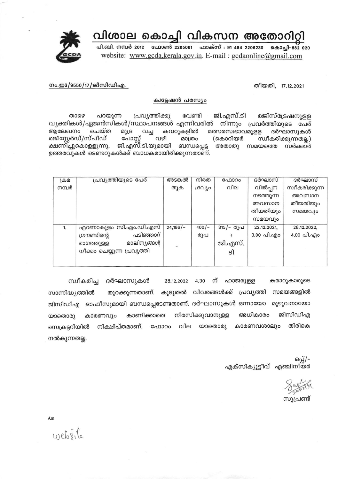വിശാല കൊച്ചി വികസന അതോറിറ്റി



പി.ബി. നമ്പർ 2012 ഫോൺ 2205061 ഫാക്സ് : 91 484 2206230 കൊച്ചി-682 020 website: www.gcda.kerala.gov.in. E-mail: gcdaonline@gmail.com

തീയതി, 17.12.2021

നം.ഇ3/9550/17/ജിസിഡിഎ.

## ക്വട്ടേഷൻ പരസ്യം

പ്രവ്യത്തിക്കു ജി.എസ്.ടി രജിസ്ട്രേഷനുള്ള താഴെ പറയുന്ന വേണ്ടി വ്യക്തികൾ/ഏജൻസികൾ/സ്ഥാപനങ്ങൾ എന്നിവരിൽ നിന്നും പ്രവർത്തിയുടെ പേര് മത്സരസ്വഭാവമുളള ആലേഖനം ചെയ്ത മുദ്ര കവറുകളിൽ ദർഘാസുകൾ വച്ച രജിസ്റ്റേർഡ്/സ്പീഡ് പോസ്റ്റ് വഴി മാത്രം (കൊറിയർ സ്വീകരിക്കുന്നതല്ല) ക്ഷണിച്ചുകൊളളുന്നു. ജി.എസ്.ടി.യുമായി ബന്ധപ്പെട്ട അതാതു സമയത്തെ സർക്കാർ ഉത്തരവുകൾ ടെണ്ടറുകൾക്ക് ബാധകമായിരിക്കുന്നതാണ്.

| ക്രമ  | പ്രവ്യത്തിയുടെ പേര്        | അടങ്കൽ     | നിരത    | ഫോറം      | ദർഘാസ്      | ദർഘാസ്         |
|-------|----------------------------|------------|---------|-----------|-------------|----------------|
| നമ്പർ |                            | തുക        | ദ്രഗ്യാ | വില       | വിൽപ്പന     | സ്വീകരിക്കുന്ന |
|       |                            |            |         |           | നടത്തുന്ന   | അവസാന          |
|       |                            |            |         |           | അവസാന       | തീയതിയും       |
|       |                            |            |         |           | തീയതിയും    | സമയവും         |
|       |                            |            |         |           | സമയവും      |                |
| 1.    | എറണാകുളം സി.എം.ഡി.എസ്      | $24,186/-$ | $400/-$ | 315/- രൂപ | 22.12.2021, | 28.12.2022,    |
|       | പടിഞ്ഞാറ്<br>ഗ്രൗണ്ടിന്റെ  |            | രൂപ     | $\pm$     | 3.00 പി.എo  | 4.00 പി.എo     |
|       | മാലിന്യങ്ങൾ<br>ഭാഗത്തുള്ള  |            |         | ജി.എസ്.   |             |                |
|       | നീക്കം ചെയ്യുന്ന പ്രവൃത്തി |            |         | ടി        |             |                |
|       |                            |            |         |           |             |                |
|       |                            |            |         |           |             |                |

ദർഘാസുകൾ ന് സ്വീകരിച്ച 28.12.2022 4.30 ഹാജരുളള കരാറുകാരുടെ കൂടുതൽ വിവരങ്ങൾക്ക് സമയങ്ങളിൽ സാന്നിദ്ധ്യത്തിൽ തുറക്കുന്നതാണ്. പ്രവ്യത്തി ഓഫീസുമായി ബന്ധപ്പെടേണ്ടതാണ്. ദർഘാസുകൾ ഒന്നായോ മുഴുവനായോ ജിസിഡിഎ നിരസിക്കുവാനുളള അധികാരം ജിസിഡിഎ കാരണവും കാണിക്കാതെ യാതൊരു തിരികെ സെക്രട്ടറിയിൽ നിക്ഷിപ്തമാണ്. ഫോറം വില യാതൊരു കാരണവശാലും നൽകുന്നതല്ല.

> ഒപ്പ്/-എക്സിക്യൂട്ടീവ് എഞ്ചിനീയർ

സൂപ്രണ്ട്

Am

website